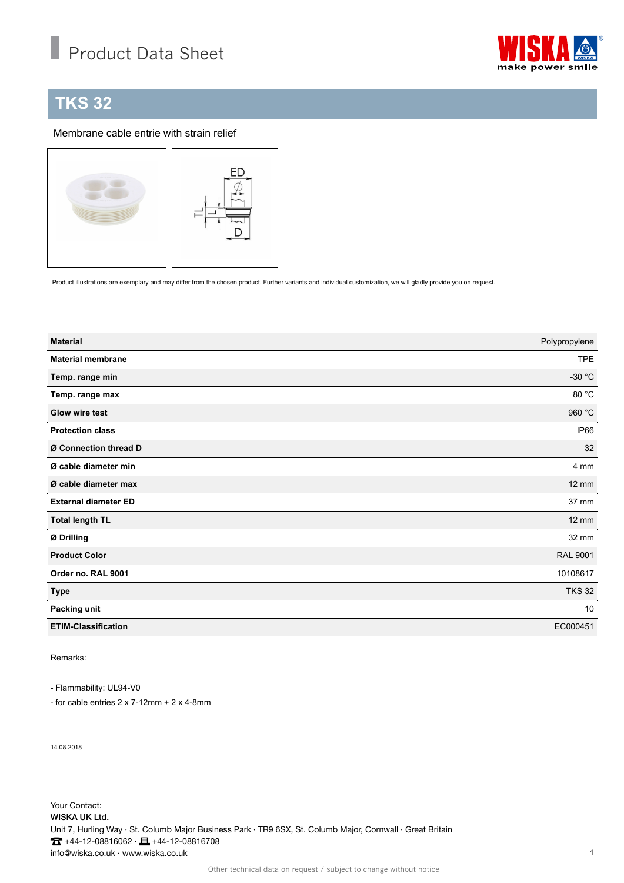## Product Data Sheet



## **TKS 32**

## Membrane cable entrie with strain relief



Product illustrations are exemplary and may differ from the chosen product. Further variants and individual customization, we will gladly provide you on request.

| <b>Material</b>             | Polypropylene    |
|-----------------------------|------------------|
| <b>Material membrane</b>    | <b>TPE</b>       |
| Temp. range min             | -30 $^{\circ}$ C |
| Temp. range max             | 80 °C            |
| <b>Glow wire test</b>       | 960 °C           |
| <b>Protection class</b>     | IP66             |
| Ø Connection thread D       | 32               |
| Ø cable diameter min        | 4 mm             |
| Ø cable diameter max        | $12 \text{ mm}$  |
| <b>External diameter ED</b> | 37 mm            |
| <b>Total length TL</b>      | $12 \text{ mm}$  |
| Ø Drilling                  | 32 mm            |
| <b>Product Color</b>        | <b>RAL 9001</b>  |
| Order no. RAL 9001          | 10108617         |
| <b>Type</b>                 | <b>TKS 32</b>    |
| Packing unit                | 10               |
| <b>ETIM-Classification</b>  | EC000451         |

Remarks:

- Flammability: UL94-V0

- for cable entries 2 x 7-12mm + 2 x 4-8mm

14.08.2018

Your Contact: WISKA UK Ltd. Unit 7, Hurling Way · St. Columb Major Business Park · TR9 6SX, St. Columb Major, Cornwall · Great Britain  $\bullet$  +44-12-08816062 ·  $\bullet$  +44-12-08816708 info@wiska.co.uk · www.wiska.co.uk